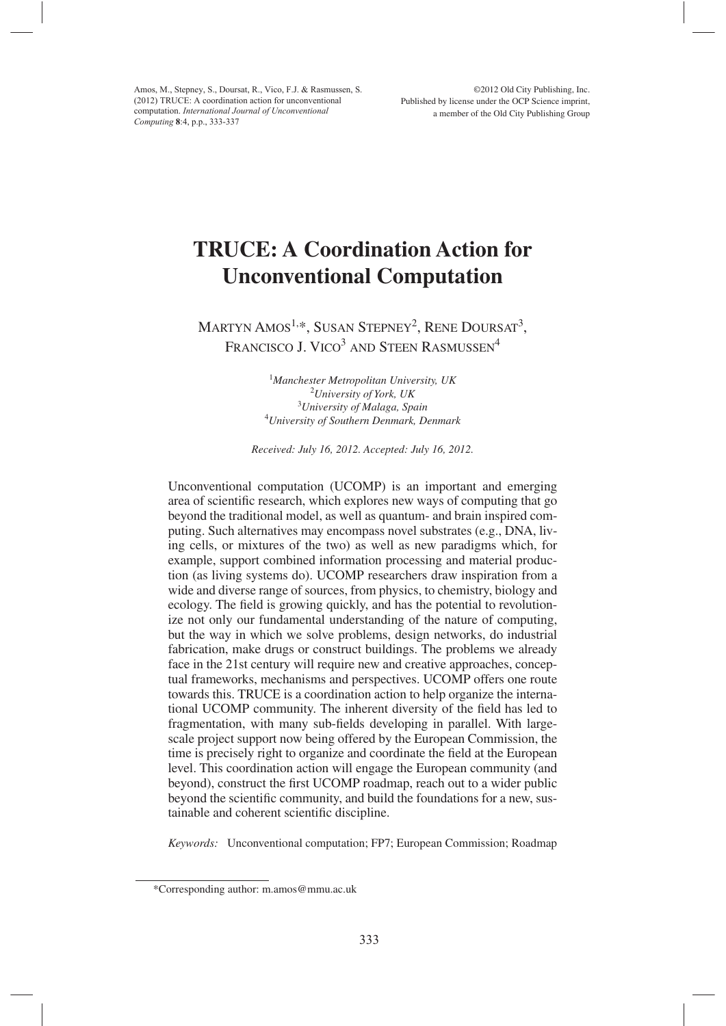Amos, M., Stepney, S., Doursat, R., Vico, F.J. & Rasmussen, S. (2012) TRUCE: A coordination action for unconventional computation. *International Journal of Unconventional Computing* **8**:4, p.p., 333-337

# **TRUCE: A Coordination Action for Unconventional Computation**

MARTYN AMOS<sup>1,\*</sup>, SUSAN STEPNEY<sup>2</sup>, RENE DOURSAT<sup>3</sup>, FRANCISCO J. VICO<sup>3</sup> AND STEEN RASMUSSEN<sup>4</sup>

> *Manchester Metropolitan University, UK University of York, UK University of Malaga, Spain University of Southern Denmark, Denmark*

*Received: July 16, 2012. Accepted: July 16, 2012.*

Unconventional computation (UCOMP) is an important and emerging area of scientific research, which explores new ways of computing that go beyond the traditional model, as well as quantum- and brain inspired computing. Such alternatives may encompass novel substrates (e.g., DNA, living cells, or mixtures of the two) as well as new paradigms which, for example, support combined information processing and material production (as living systems do). UCOMP researchers draw inspiration from a wide and diverse range of sources, from physics, to chemistry, biology and ecology. The field is growing quickly, and has the potential to revolutionize not only our fundamental understanding of the nature of computing, but the way in which we solve problems, design networks, do industrial fabrication, make drugs or construct buildings. The problems we already face in the 21st century will require new and creative approaches, conceptual frameworks, mechanisms and perspectives. UCOMP offers one route towards this. TRUCE is a coordination action to help organize the international UCOMP community. The inherent diversity of the field has led to fragmentation, with many sub-fields developing in parallel. With largescale project support now being offered by the European Commission, the time is precisely right to organize and coordinate the field at the European level. This coordination action will engage the European community (and beyond), construct the first UCOMP roadmap, reach out to a wider public beyond the scientific community, and build the foundations for a new, sustainable and coherent scientific discipline.

*Keywords:* Unconventional computation; FP7; European Commission; Roadmap

<sup>\*</sup>Corresponding author: m.amos@mmu.ac.uk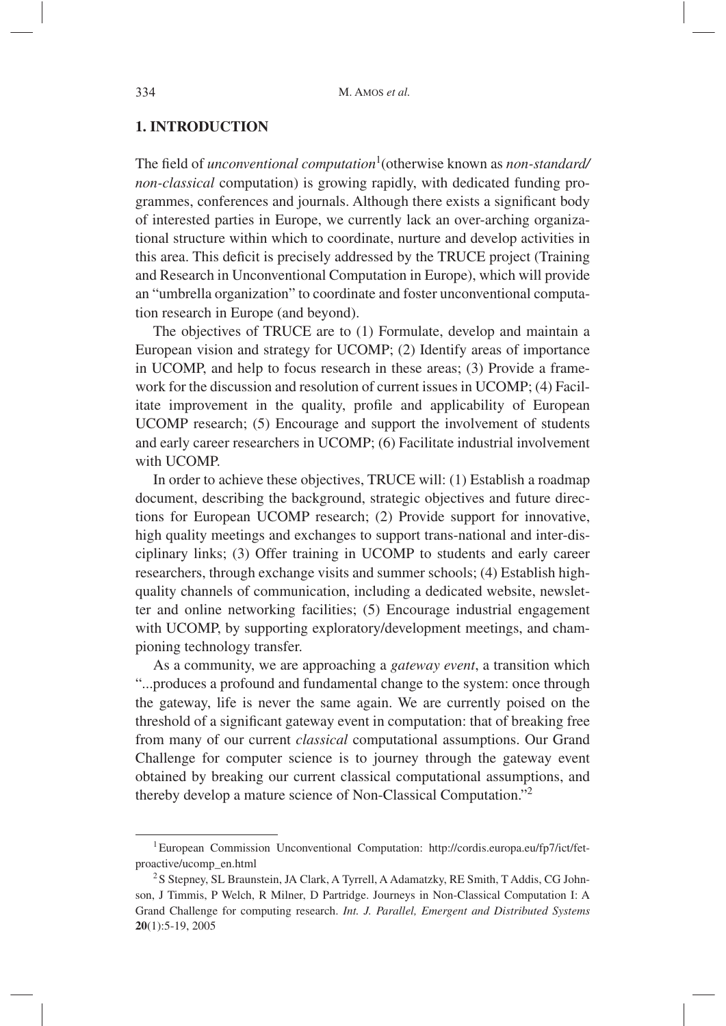### **1. INTRODUCTION**

The field of *unconventional computation*<sup>1</sup> (otherwise known as *non-standard/ non-classical* computation) is growing rapidly, with dedicated funding programmes, conferences and journals. Although there exists a significant body of interested parties in Europe, we currently lack an over-arching organizational structure within which to coordinate, nurture and develop activities in this area. This deficit is precisely addressed by the TRUCE project (Training and Research in Unconventional Computation in Europe), which will provide an "umbrella organization" to coordinate and foster unconventional computation research in Europe (and beyond).

The objectives of TRUCE are to (1) Formulate, develop and maintain a European vision and strategy for UCOMP; (2) Identify areas of importance in UCOMP, and help to focus research in these areas; (3) Provide a framework for the discussion and resolution of current issues in UCOMP; (4) Facilitate improvement in the quality, profile and applicability of European UCOMP research; (5) Encourage and support the involvement of students and early career researchers in UCOMP; (6) Facilitate industrial involvement with UCOMP.

In order to achieve these objectives, TRUCE will: (1) Establish a roadmap document, describing the background, strategic objectives and future directions for European UCOMP research; (2) Provide support for innovative, high quality meetings and exchanges to support trans-national and inter-disciplinary links; (3) Offer training in UCOMP to students and early career researchers, through exchange visits and summer schools; (4) Establish highquality channels of communication, including a dedicated website, newsletter and online networking facilities; (5) Encourage industrial engagement with UCOMP, by supporting exploratory/development meetings, and championing technology transfer.

As a community, we are approaching a *gateway event*, a transition which "...produces a profound and fundamental change to the system: once through the gateway, life is never the same again. We are currently poised on the threshold of a significant gateway event in computation: that of breaking free from many of our current *classical* computational assumptions. Our Grand Challenge for computer science is to journey through the gateway event obtained by breaking our current classical computational assumptions, and thereby develop a mature science of Non-Classical Computation."<sup>2</sup>

<sup>&</sup>lt;sup>1</sup> European Commission Unconventional Computation: http://cordis.europa.eu/fp7/ict/fetproactive/ucomp\_en.html

<sup>&</sup>lt;sup>2</sup>S Stepney, SL Braunstein, JA Clark, A Tyrrell, A Adamatzky, RE Smith, T Addis, CG Johnson, J Timmis, P Welch, R Milner, D Partridge. Journeys in Non-Classical Computation I: A Grand Challenge for computing research. *Int. J. Parallel, Emergent and Distributed Systems* **20**(1):5-19, 2005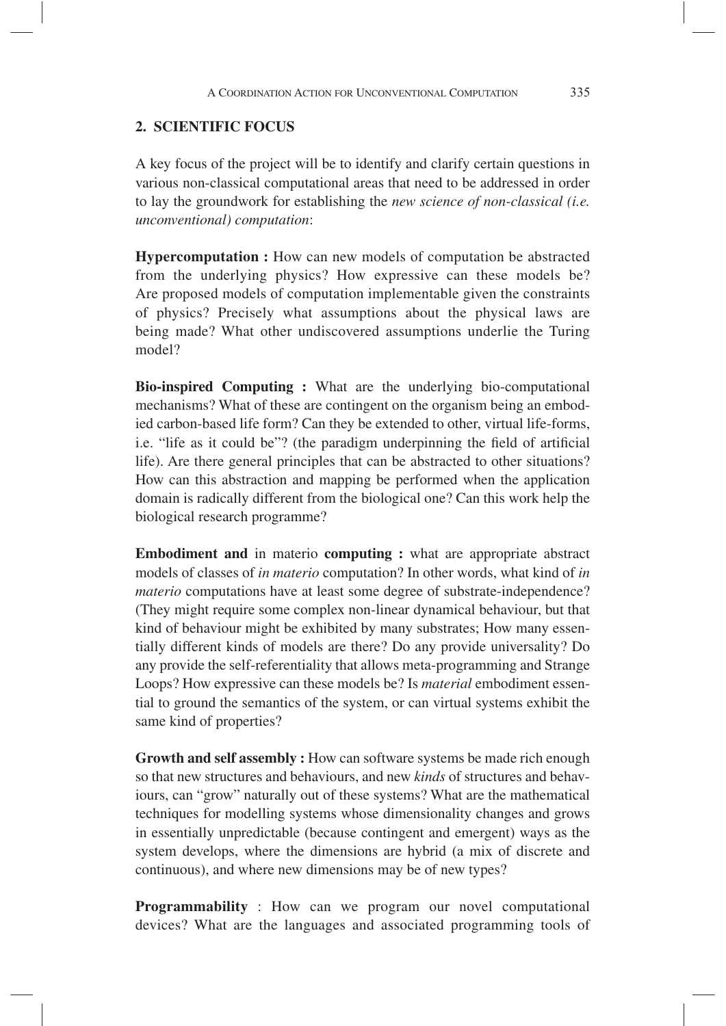#### **2. SCIENTIFIC FOCUS**

A key focus of the project will be to identify and clarify certain questions in various non-classical computational areas that need to be addressed in order to lay the groundwork for establishing the *new science of non-classical (i.e. unconventional) computation*:

**Hypercomputation :** How can new models of computation be abstracted from the underlying physics? How expressive can these models be? Are proposed models of computation implementable given the constraints of physics? Precisely what assumptions about the physical laws are being made? What other undiscovered assumptions underlie the Turing model?

**Bio-inspired Computing :** What are the underlying bio-computational mechanisms? What of these are contingent on the organism being an embodied carbon-based life form? Can they be extended to other, virtual life-forms, i.e. "life as it could be"? (the paradigm underpinning the field of artificial life). Are there general principles that can be abstracted to other situations? How can this abstraction and mapping be performed when the application domain is radically different from the biological one? Can this work help the biological research programme?

**Embodiment and** in materio **computing :** what are appropriate abstract models of classes of *in materio* computation? In other words, what kind of *in materio* computations have at least some degree of substrate-independence? (They might require some complex non-linear dynamical behaviour, but that kind of behaviour might be exhibited by many substrates; How many essentially different kinds of models are there? Do any provide universality? Do any provide the self-referentiality that allows meta-programming and Strange Loops? How expressive can these models be? Is *material* embodiment essential to ground the semantics of the system, or can virtual systems exhibit the same kind of properties?

**Growth and self assembly :** How can software systems be made rich enough so that new structures and behaviours, and new *kinds* of structures and behaviours, can "grow" naturally out of these systems? What are the mathematical techniques for modelling systems whose dimensionality changes and grows in essentially unpredictable (because contingent and emergent) ways as the system develops, where the dimensions are hybrid (a mix of discrete and continuous), and where new dimensions may be of new types?

**Programmability** : How can we program our novel computational devices? What are the languages and associated programming tools of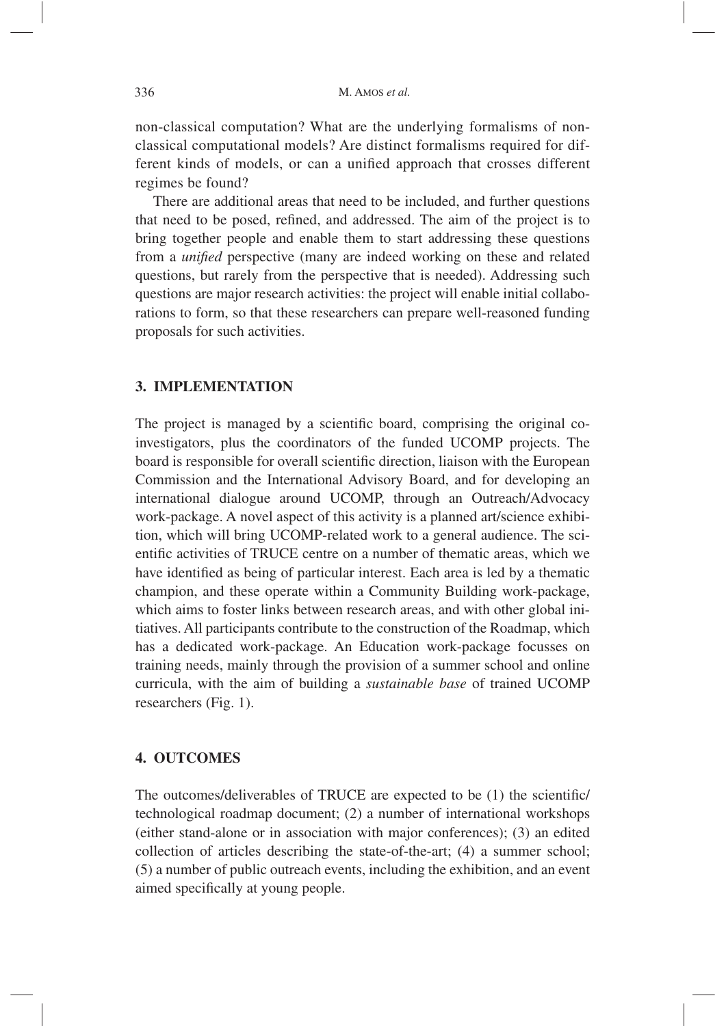non-classical computation? What are the underlying formalisms of nonclassical computational models? Are distinct formalisms required for different kinds of models, or can a unified approach that crosses different regimes be found?

There are additional areas that need to be included, and further questions that need to be posed, refined, and addressed. The aim of the project is to bring together people and enable them to start addressing these questions from a *unified* perspective (many are indeed working on these and related questions, but rarely from the perspective that is needed). Addressing such questions are major research activities: the project will enable initial collaborations to form, so that these researchers can prepare well-reasoned funding proposals for such activities.

#### **3. IMPLEMENTATION**

The project is managed by a scientific board, comprising the original coinvestigators, plus the coordinators of the funded UCOMP projects. The board is responsible for overall scientific direction, liaison with the European Commission and the International Advisory Board, and for developing an international dialogue around UCOMP, through an Outreach/Advocacy work-package. A novel aspect of this activity is a planned art/science exhibition, which will bring UCOMP-related work to a general audience. The scientific activities of TRUCE centre on a number of thematic areas, which we have identified as being of particular interest. Each area is led by a thematic champion, and these operate within a Community Building work-package, which aims to foster links between research areas, and with other global initiatives. All participants contribute to the construction of the Roadmap, which has a dedicated work-package. An Education work-package focusses on training needs, mainly through the provision of a summer school and online curricula, with the aim of building a *sustainable base* of trained UCOMP researchers (Fig. 1).

#### **4. OUTCOMES**

The outcomes/deliverables of TRUCE are expected to be (1) the scientific/ technological roadmap document; (2) a number of international workshops (either stand-alone or in association with major conferences); (3) an edited collection of articles describing the state-of-the-art; (4) a summer school; (5) a number of public outreach events, including the exhibition, and an event aimed specifically at young people.